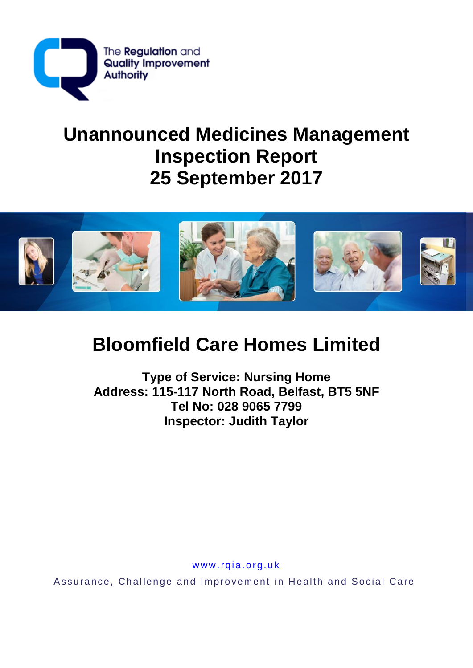

# **Unannounced Medicines Management Inspection Report 25 September 2017**



# **Bloomfield Care Homes Limited**

**Type of Service: Nursing Home Address: 115-117 North Road, Belfast, BT5 5NF Tel No: 028 9065 7799 Inspector: Judith Taylor**

www.rqia.org.uk

Assurance, Challenge and Improvement in Health and Social Care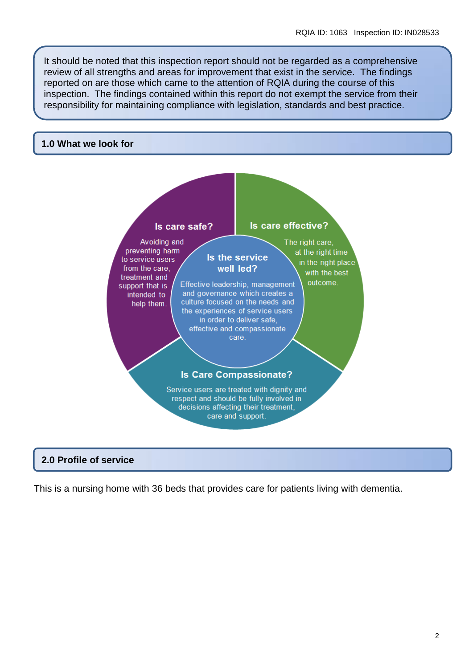It should be noted that this inspection report should not be regarded as a comprehensive review of all strengths and areas for improvement that exist in the service. The findings reported on are those which came to the attention of RQIA during the course of this inspection. The findings contained within this report do not exempt the service from their responsibility for maintaining compliance with legislation, standards and best practice.

#### **1.0 What we look for**



#### **2.0 Profile of service**

This is a nursing home with 36 beds that provides care for patients living with dementia.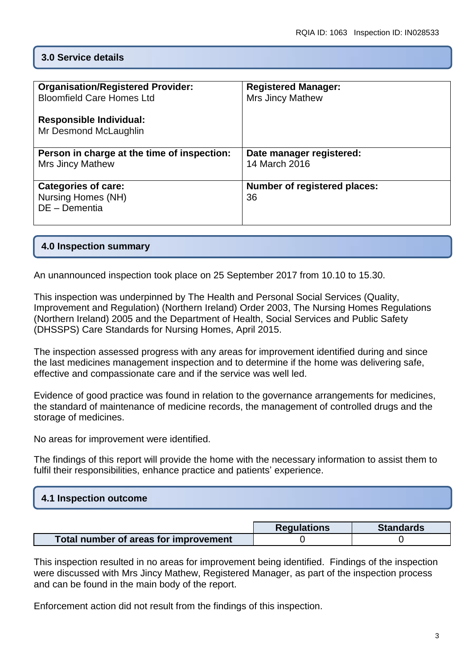## **3.0 Service details**

| <b>Organisation/Registered Provider:</b>    | <b>Registered Manager:</b>          |
|---------------------------------------------|-------------------------------------|
| <b>Bloomfield Care Homes Ltd</b>            | <b>Mrs Jincy Mathew</b>             |
|                                             |                                     |
|                                             |                                     |
| <b>Responsible Individual:</b>              |                                     |
| Mr Desmond McLaughlin                       |                                     |
|                                             |                                     |
|                                             |                                     |
| Person in charge at the time of inspection: | Date manager registered:            |
| <b>Mrs Jincy Mathew</b>                     | 14 March 2016                       |
|                                             |                                     |
|                                             |                                     |
| <b>Categories of care:</b>                  | <b>Number of registered places:</b> |
| Nursing Homes (NH)                          | 36                                  |
| DE - Dementia                               |                                     |
|                                             |                                     |
|                                             |                                     |

#### **4.0 Inspection summary**

An unannounced inspection took place on 25 September 2017 from 10.10 to 15.30.

This inspection was underpinned by The Health and Personal Social Services (Quality, Improvement and Regulation) (Northern Ireland) Order 2003, The Nursing Homes Regulations (Northern Ireland) 2005 and the Department of Health, Social Services and Public Safety (DHSSPS) Care Standards for Nursing Homes, April 2015.

The inspection assessed progress with any areas for improvement identified during and since the last medicines management inspection and to determine if the home was delivering safe, effective and compassionate care and if the service was well led.

Evidence of good practice was found in relation to the governance arrangements for medicines, the standard of maintenance of medicine records, the management of controlled drugs and the storage of medicines.

No areas for improvement were identified.

The findings of this report will provide the home with the necessary information to assist them to fulfil their responsibilities, enhance practice and patients' experience.

|                                       | <b>Requlations</b> | <b>Standards</b> |
|---------------------------------------|--------------------|------------------|
| Total number of areas for improvement |                    |                  |

This inspection resulted in no areas for improvement being identified. Findings of the inspection were discussed with Mrs Jincy Mathew, Registered Manager, as part of the inspection process and can be found in the main body of the report.

Enforcement action did not result from the findings of this inspection.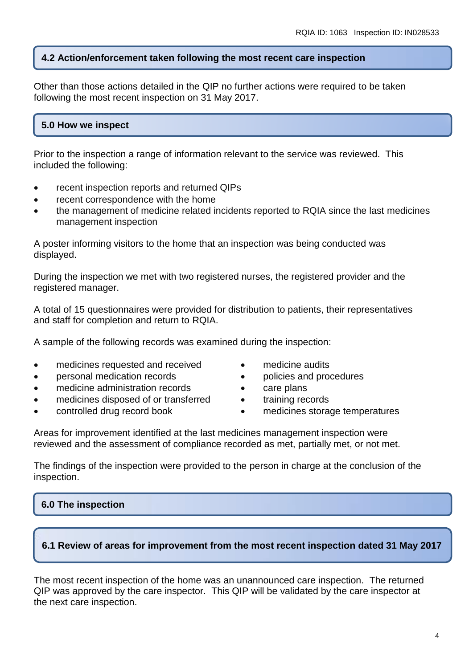#### **4.2 Action/enforcement taken following the most recent care inspection**

Other than those actions detailed in the QIP no further actions were required to be taken following the most recent inspection on 31 May 2017.

#### **5.0 How we inspect**

Prior to the inspection a range of information relevant to the service was reviewed. This included the following:

- recent inspection reports and returned QIPs
- recent correspondence with the home
- the management of medicine related incidents reported to RQIA since the last medicines management inspection

A poster informing visitors to the home that an inspection was being conducted was displayed.

During the inspection we met with two registered nurses, the registered provider and the registered manager.

A total of 15 questionnaires were provided for distribution to patients, their representatives and staff for completion and return to RQIA.

A sample of the following records was examined during the inspection:

- medicines requested and received
- personal medication records
- medicine administration records
- medicines disposed of or transferred
- controlled drug record book
- medicine audits
- policies and procedures
- care plans
- training records
- medicines storage temperatures

Areas for improvement identified at the last medicines management inspection were reviewed and the assessment of compliance recorded as met, partially met, or not met.

The findings of the inspection were provided to the person in charge at the conclusion of the inspection.

## **6.0 The inspection**

#### **6.1 Review of areas for improvement from the most recent inspection dated 31 May 2017**

The most recent inspection of the home was an unannounced care inspection. The returned QIP was approved by the care inspector. This QIP will be validated by the care inspector at the next care inspection.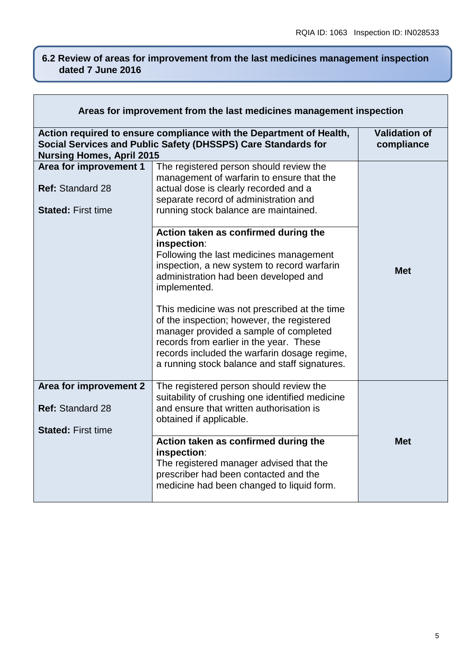#### **6.2 Review of areas for improvement from the last medicines management inspection dated 7 June 2016**

| Areas for improvement from the last medicines management inspection            |                                                                                                                                                                                                                                                        |                                    |
|--------------------------------------------------------------------------------|--------------------------------------------------------------------------------------------------------------------------------------------------------------------------------------------------------------------------------------------------------|------------------------------------|
| <b>Nursing Homes, April 2015</b>                                               | Action required to ensure compliance with the Department of Health,<br>Social Services and Public Safety (DHSSPS) Care Standards for                                                                                                                   | <b>Validation of</b><br>compliance |
| Area for improvement 1<br><b>Ref: Standard 28</b><br><b>Stated: First time</b> | The registered person should review the<br>management of warfarin to ensure that the<br>actual dose is clearly recorded and a<br>separate record of administration and<br>running stock balance are maintained.                                        |                                    |
|                                                                                | Action taken as confirmed during the<br>inspection:<br>Following the last medicines management<br>inspection, a new system to record warfarin<br>administration had been developed and<br>implemented.<br>This medicine was not prescribed at the time | <b>Met</b>                         |
|                                                                                | of the inspection; however, the registered<br>manager provided a sample of completed<br>records from earlier in the year. These<br>records included the warfarin dosage regime,<br>a running stock balance and staff signatures.                       |                                    |
| Area for improvement 2<br><b>Ref: Standard 28</b><br><b>Stated: First time</b> | The registered person should review the<br>suitability of crushing one identified medicine<br>and ensure that written authorisation is<br>obtained if applicable.                                                                                      |                                    |
|                                                                                | Action taken as confirmed during the<br>inspection:<br>The registered manager advised that the<br>prescriber had been contacted and the<br>medicine had been changed to liquid form.                                                                   | <b>Met</b>                         |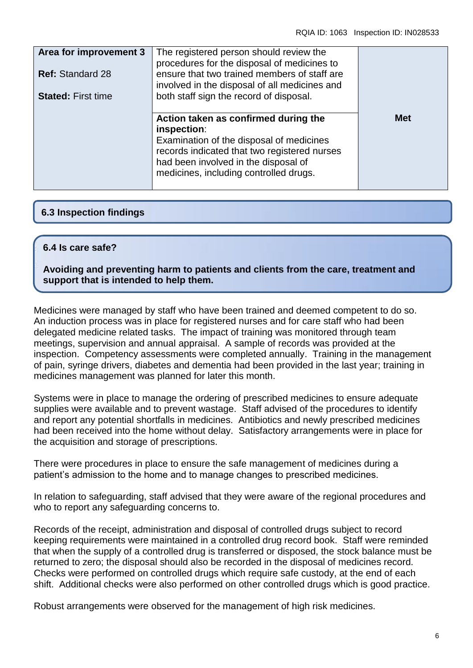| Area for improvement 3<br><b>Ref: Standard 28</b><br><b>Stated: First time</b> | The registered person should review the<br>procedures for the disposal of medicines to<br>ensure that two trained members of staff are<br>involved in the disposal of all medicines and<br>both staff sign the record of disposal. |            |
|--------------------------------------------------------------------------------|------------------------------------------------------------------------------------------------------------------------------------------------------------------------------------------------------------------------------------|------------|
|                                                                                | Action taken as confirmed during the<br>inspection:<br>Examination of the disposal of medicines<br>records indicated that two registered nurses<br>had been involved in the disposal of<br>medicines, including controlled drugs.  | <b>Met</b> |

## **6.3 Inspection findings**

#### **6.4 Is care safe?**

**Avoiding and preventing harm to patients and clients from the care, treatment and support that is intended to help them.**

Medicines were managed by staff who have been trained and deemed competent to do so. An induction process was in place for registered nurses and for care staff who had been delegated medicine related tasks. The impact of training was monitored through team meetings, supervision and annual appraisal. A sample of records was provided at the inspection. Competency assessments were completed annually. Training in the management of pain, syringe drivers, diabetes and dementia had been provided in the last year; training in medicines management was planned for later this month.

Systems were in place to manage the ordering of prescribed medicines to ensure adequate supplies were available and to prevent wastage. Staff advised of the procedures to identify and report any potential shortfalls in medicines. Antibiotics and newly prescribed medicines had been received into the home without delay. Satisfactory arrangements were in place for the acquisition and storage of prescriptions.

There were procedures in place to ensure the safe management of medicines during a patient's admission to the home and to manage changes to prescribed medicines.

In relation to safeguarding, staff advised that they were aware of the regional procedures and who to report any safeguarding concerns to.

Records of the receipt, administration and disposal of controlled drugs subject to record keeping requirements were maintained in a controlled drug record book. Staff were reminded that when the supply of a controlled drug is transferred or disposed, the stock balance must be returned to zero; the disposal should also be recorded in the disposal of medicines record. Checks were performed on controlled drugs which require safe custody, at the end of each shift. Additional checks were also performed on other controlled drugs which is good practice.

Robust arrangements were observed for the management of high risk medicines.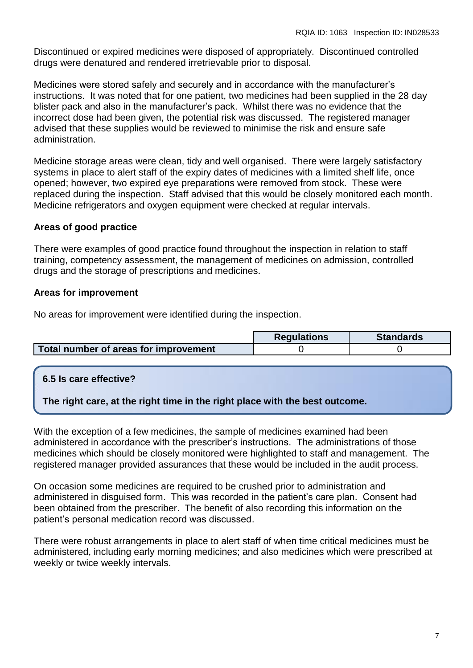Discontinued or expired medicines were disposed of appropriately. Discontinued controlled drugs were denatured and rendered irretrievable prior to disposal.

Medicines were stored safely and securely and in accordance with the manufacturer's instructions. It was noted that for one patient, two medicines had been supplied in the 28 day blister pack and also in the manufacturer's pack. Whilst there was no evidence that the incorrect dose had been given, the potential risk was discussed. The registered manager advised that these supplies would be reviewed to minimise the risk and ensure safe administration.

Medicine storage areas were clean, tidy and well organised. There were largely satisfactory systems in place to alert staff of the expiry dates of medicines with a limited shelf life, once opened; however, two expired eye preparations were removed from stock. These were replaced during the inspection. Staff advised that this would be closely monitored each month. Medicine refrigerators and oxygen equipment were checked at regular intervals.

## **Areas of good practice**

There were examples of good practice found throughout the inspection in relation to staff training, competency assessment, the management of medicines on admission, controlled drugs and the storage of prescriptions and medicines.

## **Areas for improvement**

No areas for improvement were identified during the inspection.

|                                       | <b>Requlations</b> | <b>Standards</b> |
|---------------------------------------|--------------------|------------------|
| Total number of areas for improvement |                    |                  |

## **6.5 Is care effective?**

## **The right care, at the right time in the right place with the best outcome.**

With the exception of a few medicines, the sample of medicines examined had been administered in accordance with the prescriber's instructions. The administrations of those medicines which should be closely monitored were highlighted to staff and management. The registered manager provided assurances that these would be included in the audit process.

On occasion some medicines are required to be crushed prior to administration and administered in disguised form. This was recorded in the patient's care plan. Consent had been obtained from the prescriber. The benefit of also recording this information on the patient's personal medication record was discussed.

There were robust arrangements in place to alert staff of when time critical medicines must be administered, including early morning medicines; and also medicines which were prescribed at weekly or twice weekly intervals.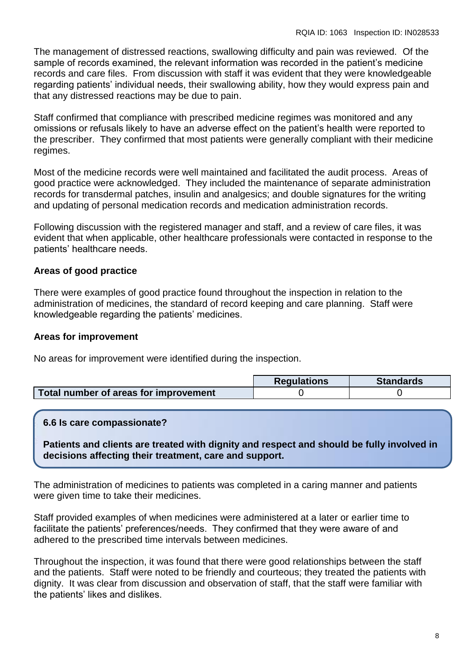The management of distressed reactions, swallowing difficulty and pain was reviewed. Of the sample of records examined, the relevant information was recorded in the patient's medicine records and care files. From discussion with staff it was evident that they were knowledgeable regarding patients' individual needs, their swallowing ability, how they would express pain and that any distressed reactions may be due to pain.

Staff confirmed that compliance with prescribed medicine regimes was monitored and any omissions or refusals likely to have an adverse effect on the patient's health were reported to the prescriber. They confirmed that most patients were generally compliant with their medicine regimes.

Most of the medicine records were well maintained and facilitated the audit process. Areas of good practice were acknowledged. They included the maintenance of separate administration records for transdermal patches, insulin and analgesics; and double signatures for the writing and updating of personal medication records and medication administration records.

Following discussion with the registered manager and staff, and a review of care files, it was evident that when applicable, other healthcare professionals were contacted in response to the patients' healthcare needs.

## **Areas of good practice**

There were examples of good practice found throughout the inspection in relation to the administration of medicines, the standard of record keeping and care planning. Staff were knowledgeable regarding the patients' medicines.

#### **Areas for improvement**

No areas for improvement were identified during the inspection.

|                                       | <b>Requlations</b> | <b>Standards</b> |
|---------------------------------------|--------------------|------------------|
| Total number of areas for improvement |                    |                  |

#### **6.6 Is care compassionate?**

**Patients and clients are treated with dignity and respect and should be fully involved in decisions affecting their treatment, care and support.**

The administration of medicines to patients was completed in a caring manner and patients were given time to take their medicines.

Staff provided examples of when medicines were administered at a later or earlier time to facilitate the patients' preferences/needs. They confirmed that they were aware of and adhered to the prescribed time intervals between medicines.

Throughout the inspection, it was found that there were good relationships between the staff and the patients. Staff were noted to be friendly and courteous; they treated the patients with dignity. It was clear from discussion and observation of staff, that the staff were familiar with the patients' likes and dislikes.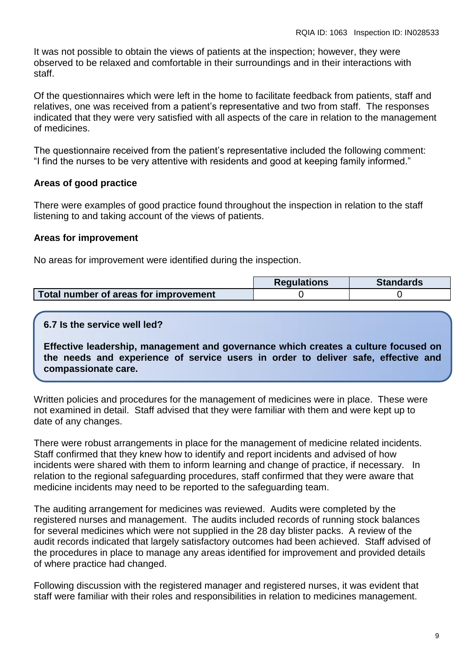It was not possible to obtain the views of patients at the inspection; however, they were observed to be relaxed and comfortable in their surroundings and in their interactions with staff.

Of the questionnaires which were left in the home to facilitate feedback from patients, staff and relatives, one was received from a patient's representative and two from staff. The responses indicated that they were very satisfied with all aspects of the care in relation to the management of medicines.

The questionnaire received from the patient's representative included the following comment: "I find the nurses to be very attentive with residents and good at keeping family informed."

## **Areas of good practice**

There were examples of good practice found throughout the inspection in relation to the staff listening to and taking account of the views of patients.

#### **Areas for improvement**

No areas for improvement were identified during the inspection.

|                                       | <b>Regulations</b> | <b>Standards</b> |
|---------------------------------------|--------------------|------------------|
| Total number of areas for improvement |                    |                  |

#### **6.7 Is the service well led?**

**Effective leadership, management and governance which creates a culture focused on the needs and experience of service users in order to deliver safe, effective and compassionate care.**

Written policies and procedures for the management of medicines were in place. These were not examined in detail. Staff advised that they were familiar with them and were kept up to date of any changes.

There were robust arrangements in place for the management of medicine related incidents. Staff confirmed that they knew how to identify and report incidents and advised of how incidents were shared with them to inform learning and change of practice, if necessary. In relation to the regional safeguarding procedures, staff confirmed that they were aware that medicine incidents may need to be reported to the safeguarding team.

The auditing arrangement for medicines was reviewed. Audits were completed by the registered nurses and management. The audits included records of running stock balances for several medicines which were not supplied in the 28 day blister packs. A review of the audit records indicated that largely satisfactory outcomes had been achieved. Staff advised of the procedures in place to manage any areas identified for improvement and provided details of where practice had changed.

Following discussion with the registered manager and registered nurses, it was evident that staff were familiar with their roles and responsibilities in relation to medicines management.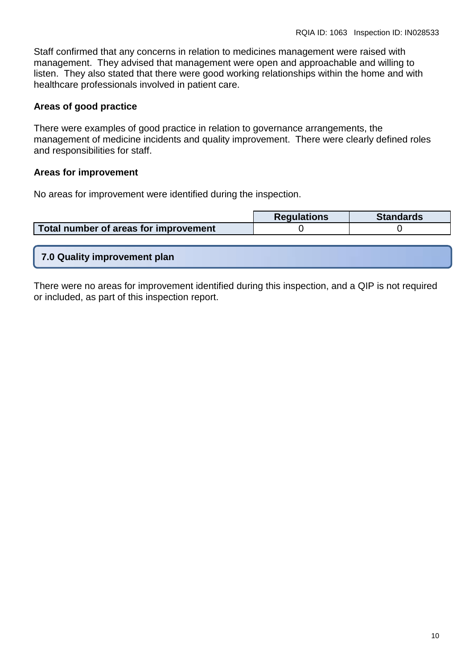Staff confirmed that any concerns in relation to medicines management were raised with management. They advised that management were open and approachable and willing to listen. They also stated that there were good working relationships within the home and with healthcare professionals involved in patient care.

## **Areas of good practice**

There were examples of good practice in relation to governance arrangements, the management of medicine incidents and quality improvement. There were clearly defined roles and responsibilities for staff.

#### **Areas for improvement**

No areas for improvement were identified during the inspection.

|                                       | <b>Regulations</b> | <b>Standards</b> |
|---------------------------------------|--------------------|------------------|
| Total number of areas for improvement |                    |                  |

**7.0 Quality improvement plan**

There were no areas for improvement identified during this inspection, and a QIP is not required or included, as part of this inspection report.